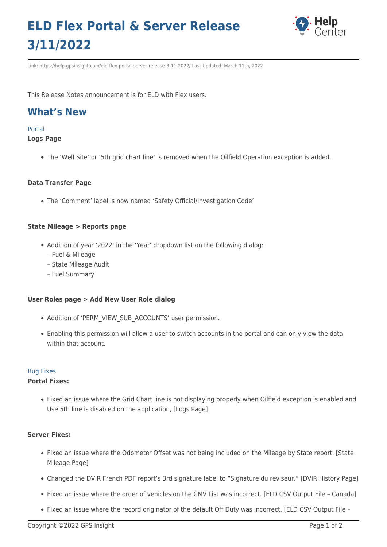# **ELD Flex Portal & Server Release 3/11/2022**



Link: https://help.gpsinsight.com/eld-flex-portal-server-release-3-11-2022/ Last Updated: March 11th, 2022

This Release Notes announcement is for ELD with Flex users.

# **What's New**

#### Portal

# **Logs Page**

The 'Well Site' or '5th grid chart line' is removed when the Oilfield Operation exception is added.

# **Data Transfer Page**

The 'Comment' label is now named 'Safety Official/Investigation Code'

#### **State Mileage > Reports page**

- Addition of year '2022' in the 'Year' dropdown list on the following dialog:
	- Fuel & Mileage
	- State Mileage Audit
	- Fuel Summary

#### **User Roles page > Add New User Role dialog**

- Addition of 'PERM\_VIEW\_SUB\_ACCOUNTS' user permission.
- Enabling this permission will allow a user to switch accounts in the portal and can only view the data within that account.

# Bug Fixes

# **Portal Fixes:**

Fixed an issue where the Grid Chart line is not displaying properly when Oilfield exception is enabled and Use 5th line is disabled on the application, [Logs Page]

# **Server Fixes:**

- Fixed an issue where the Odometer Offset was not being included on the Mileage by State report. [State Mileage Page]
- Changed the DVIR French PDF report's 3rd signature label to "Signature du reviseur." [DVIR History Page]
- Fixed an issue where the order of vehicles on the CMV List was incorrect. [ELD CSV Output File Canada]
- Fixed an issue where the record originator of the default Off Duty was incorrect. [ELD CSV Output File -